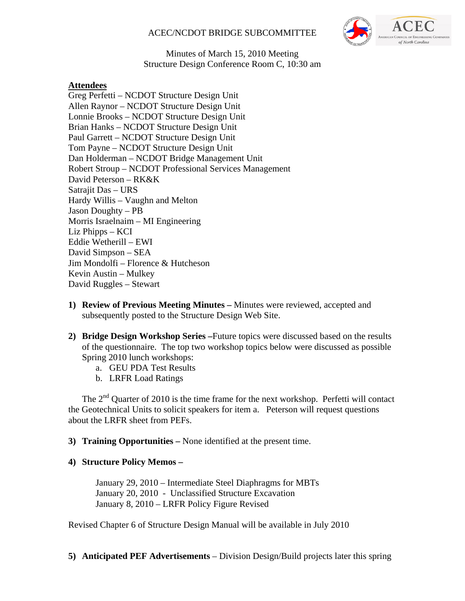# ACEC/NCDOT BRIDGE SUBCOMMITTEE



#### Minutes of March 15, 2010 Meeting Structure Design Conference Room C, 10:30 am

# **Attendees**

Greg Perfetti – NCDOT Structure Design Unit Allen Raynor – NCDOT Structure Design Unit Lonnie Brooks – NCDOT Structure Design Unit Brian Hanks – NCDOT Structure Design Unit Paul Garrett – NCDOT Structure Design Unit Tom Payne – NCDOT Structure Design Unit Dan Holderman – NCDOT Bridge Management Unit Robert Stroup – NCDOT Professional Services Management David Peterson – RK&K Satrajit Das – URS Hardy Willis – Vaughn and Melton Jason Doughty – PB Morris Israelnaim – MI Engineering Liz Phipps – KCI Eddie Wetherill – EWI David Simpson – SEA Jim Mondolfi – Florence & Hutcheson Kevin Austin – Mulkey David Ruggles – Stewart

- **1) Review of Previous Meeting Minutes** Minutes were reviewed, accepted and subsequently posted to the Structure Design Web Site.
- **2) Bridge Design Workshop Series –**Future topics were discussed based on the results of the questionnaire. The top two workshop topics below were discussed as possible Spring 2010 lunch workshops:
	- a. GEU PDA Test Results
	- b. LRFR Load Ratings

The  $2<sup>nd</sup>$  Quarter of 2010 is the time frame for the next workshop. Perfetti will contact the Geotechnical Units to solicit speakers for item a. Peterson will request questions about the LRFR sheet from PEFs.

**3) Training Opportunities –** None identified at the present time.

## **4) Structure Policy Memos –**

January 29, 2010 – Intermediate Steel Diaphragms for MBTs January 20, 2010 - Unclassified Structure Excavation January 8, 2010 – LRFR Policy Figure Revised

Revised Chapter 6 of Structure Design Manual will be available in July 2010

**5) Anticipated PEF Advertisements** – Division Design/Build projects later this spring